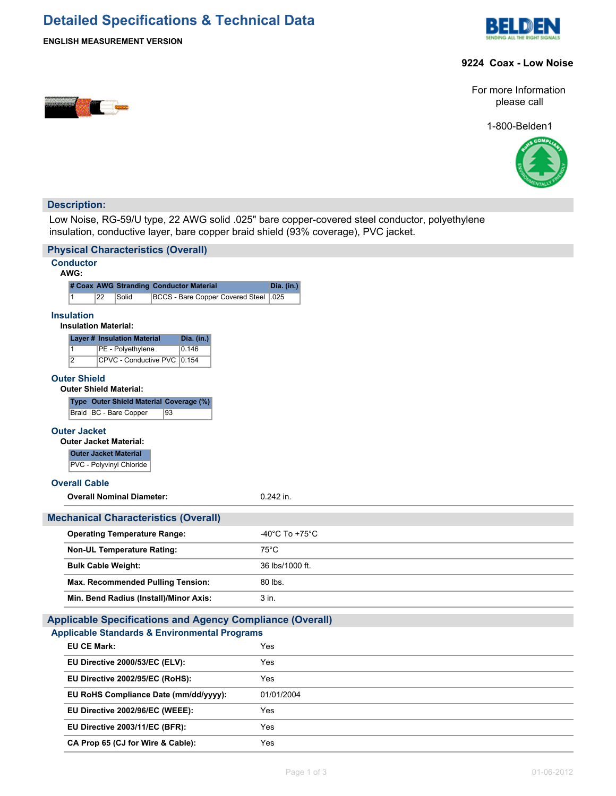# **Detailed Specifications & Technical Data**



<u>e de la provincia de la provincia de la provincia de la provincia de la provincia de la provincia de la provi</u>



## **9224 Coax - Low Noise**

For more Information please call

1-800-Belden1



## **Description:**

Low Noise, RG-59/U type, 22 AWG solid .025" bare copper-covered steel conductor, polyethylene insulation, conductive layer, bare copper braid shield (93% coverage), PVC jacket.

| <b>Physical Characteristics (Overall)</b>                        |                 |  |  |  |
|------------------------------------------------------------------|-----------------|--|--|--|
| <b>Conductor</b>                                                 |                 |  |  |  |
| AWG:<br># Coax AWG Stranding Conductor Material                  | Dia. (in.)      |  |  |  |
| 22<br>Solid<br><b>BCCS - Bare Copper Covered Steel</b><br>1      | .025            |  |  |  |
| <b>Insulation</b><br><b>Insulation Material:</b>                 |                 |  |  |  |
| <b>Layer # Insulation Material</b><br>Dia. (in.)                 |                 |  |  |  |
| $\overline{1}$<br>PE - Polyethylene<br>0.146                     |                 |  |  |  |
| $\overline{2}$<br>CPVC - Conductive PVC 0.154                    |                 |  |  |  |
| <b>Outer Shield</b><br><b>Outer Shield Material:</b>             |                 |  |  |  |
| Type Outer Shield Material Coverage (%)                          |                 |  |  |  |
| Braid   BC - Bare Copper<br>93                                   |                 |  |  |  |
| <b>Outer Jacket</b>                                              |                 |  |  |  |
| <b>Outer Jacket Material:</b>                                    |                 |  |  |  |
| <b>Outer Jacket Material</b><br>PVC - Polyvinyl Chloride         |                 |  |  |  |
| <b>Overall Cable</b>                                             |                 |  |  |  |
| <b>Overall Nominal Diameter:</b>                                 | $0.242$ in.     |  |  |  |
|                                                                  |                 |  |  |  |
| <b>Mechanical Characteristics (Overall)</b>                      |                 |  |  |  |
| <b>Operating Temperature Range:</b>                              | -40°C To +75°C  |  |  |  |
| <b>Non-UL Temperature Rating:</b>                                | $75^{\circ}$ C  |  |  |  |
| <b>Bulk Cable Weight:</b>                                        | 36 lbs/1000 ft. |  |  |  |
| Max. Recommended Pulling Tension:                                | 80 lbs.         |  |  |  |
| Min. Bend Radius (Install)/Minor Axis:                           | 3 in.           |  |  |  |
| <b>Applicable Specifications and Agency Compliance (Overall)</b> |                 |  |  |  |
| <b>Applicable Standards &amp; Environmental Programs</b>         |                 |  |  |  |
| <b>EU CE Mark:</b>                                               | Yes             |  |  |  |
| EU Directive 2000/53/EC (ELV):                                   | Yes             |  |  |  |
| EU Directive 2002/95/EC (RoHS):                                  | Yes             |  |  |  |
| EU RoHS Compliance Date (mm/dd/yyyy):                            | 01/01/2004      |  |  |  |
| EU Directive 2002/96/EC (WEEE):                                  | Yes             |  |  |  |
| EU Directive 2003/11/EC (BFR):                                   | Yes             |  |  |  |
| CA Prop 65 (CJ for Wire & Cable):                                | Yes             |  |  |  |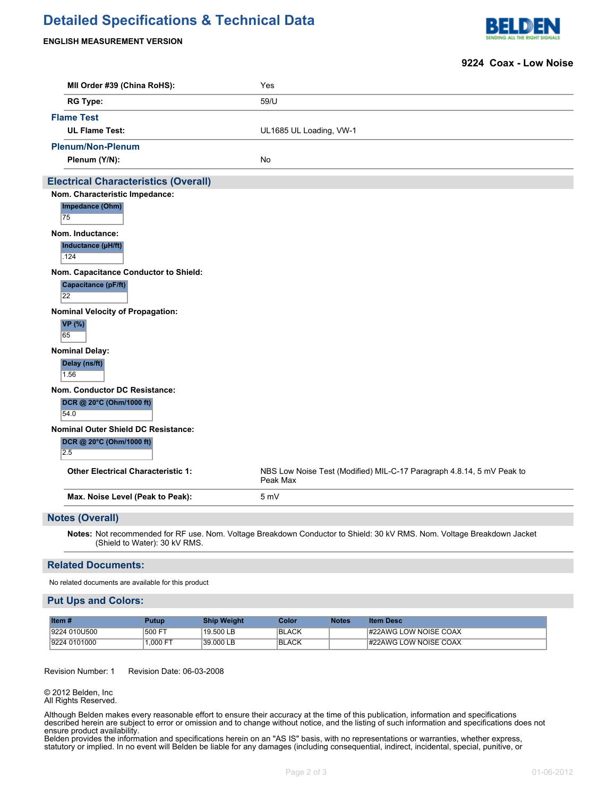## **Detailed Specifications & Technical Data**

#### **ENGLISH MEASUREMENT VERSION**



### **9224 Coax - Low Noise**

| MII Order #39 (China RoHS):                 | Yes                                                                               |  |  |  |
|---------------------------------------------|-----------------------------------------------------------------------------------|--|--|--|
| <b>RG Type:</b>                             | 59/U                                                                              |  |  |  |
| <b>Flame Test</b>                           |                                                                                   |  |  |  |
| <b>UL Flame Test:</b>                       | UL1685 UL Loading, VW-1                                                           |  |  |  |
| <b>Plenum/Non-Plenum</b>                    |                                                                                   |  |  |  |
| Plenum (Y/N):                               | <b>No</b>                                                                         |  |  |  |
| <b>Electrical Characteristics (Overall)</b> |                                                                                   |  |  |  |
| Nom. Characteristic Impedance:              |                                                                                   |  |  |  |
| Impedance (Ohm)<br>75                       |                                                                                   |  |  |  |
| Nom. Inductance:                            |                                                                                   |  |  |  |
| Inductance (µH/ft)<br>.124                  |                                                                                   |  |  |  |
| Nom. Capacitance Conductor to Shield:       |                                                                                   |  |  |  |
| Capacitance (pF/ft)<br>$\overline{22}$      |                                                                                   |  |  |  |
| <b>Nominal Velocity of Propagation:</b>     |                                                                                   |  |  |  |
| <b>VP</b> (%)<br>65                         |                                                                                   |  |  |  |
| <b>Nominal Delay:</b>                       |                                                                                   |  |  |  |
| Delay (ns/ft)<br>1.56                       |                                                                                   |  |  |  |
| <b>Nom. Conductor DC Resistance:</b>        |                                                                                   |  |  |  |
| DCR @ 20°C (Ohm/1000 ft)<br>54.0            |                                                                                   |  |  |  |
| <b>Nominal Outer Shield DC Resistance:</b>  |                                                                                   |  |  |  |
| DCR @ 20°C (Ohm/1000 ft)<br>2.5             |                                                                                   |  |  |  |
| <b>Other Electrical Characteristic 1:</b>   | NBS Low Noise Test (Modified) MIL-C-17 Paragraph 4.8.14, 5 mV Peak to<br>Peak Max |  |  |  |
| Max. Noise Level (Peak to Peak):            | 5 mV                                                                              |  |  |  |
| <b>Notes (Overall)</b>                      |                                                                                   |  |  |  |

**Notes:** Not recommended for RF use. Nom. Voltage Breakdown Conductor to Shield: 30 kV RMS. Nom. Voltage Breakdown Jacket (Shield to Water): 30 kV RMS.

#### **Related Documents:**

No related documents are available for this product

#### **Put Ups and Colors:**

| Item $#$     | Putup    | <b>Ship Weight</b> | Color | <b>Notes</b> | <b>Item Desc</b>      |
|--------------|----------|--------------------|-------|--------------|-----------------------|
| 9224 010U500 | 1500 FT  | 19.500 LB          | BLACK |              | #22AWG LOW NOISE COAX |
| 9224 0101000 | 1.000 FT | 39.000 LB          | BLACK |              | #22AWG LOW NOISE COAX |

Revision Number: 1 Revision Date: 06-03-2008

© 2012 Belden, Inc All Rights Reserved.

Although Belden makes every reasonable effort to ensure their accuracy at the time of this publication, information and specifications described herein are subject to error or omission and to change without notice, and the listing of such information and specifications does not ensure product availability.

Belden provides the information and specifications herein on an "AS IS" basis, with no representations or warranties, whether express, statutory or implied. In no event will Belden be liable for any damages (including consequential, indirect, incidental, special, punitive, or  $e^{\pm i\omega}$  if  $B$ elden has been advised of the possibility of the possibility of the possibility of the possibility of such damages, where  $\omega$